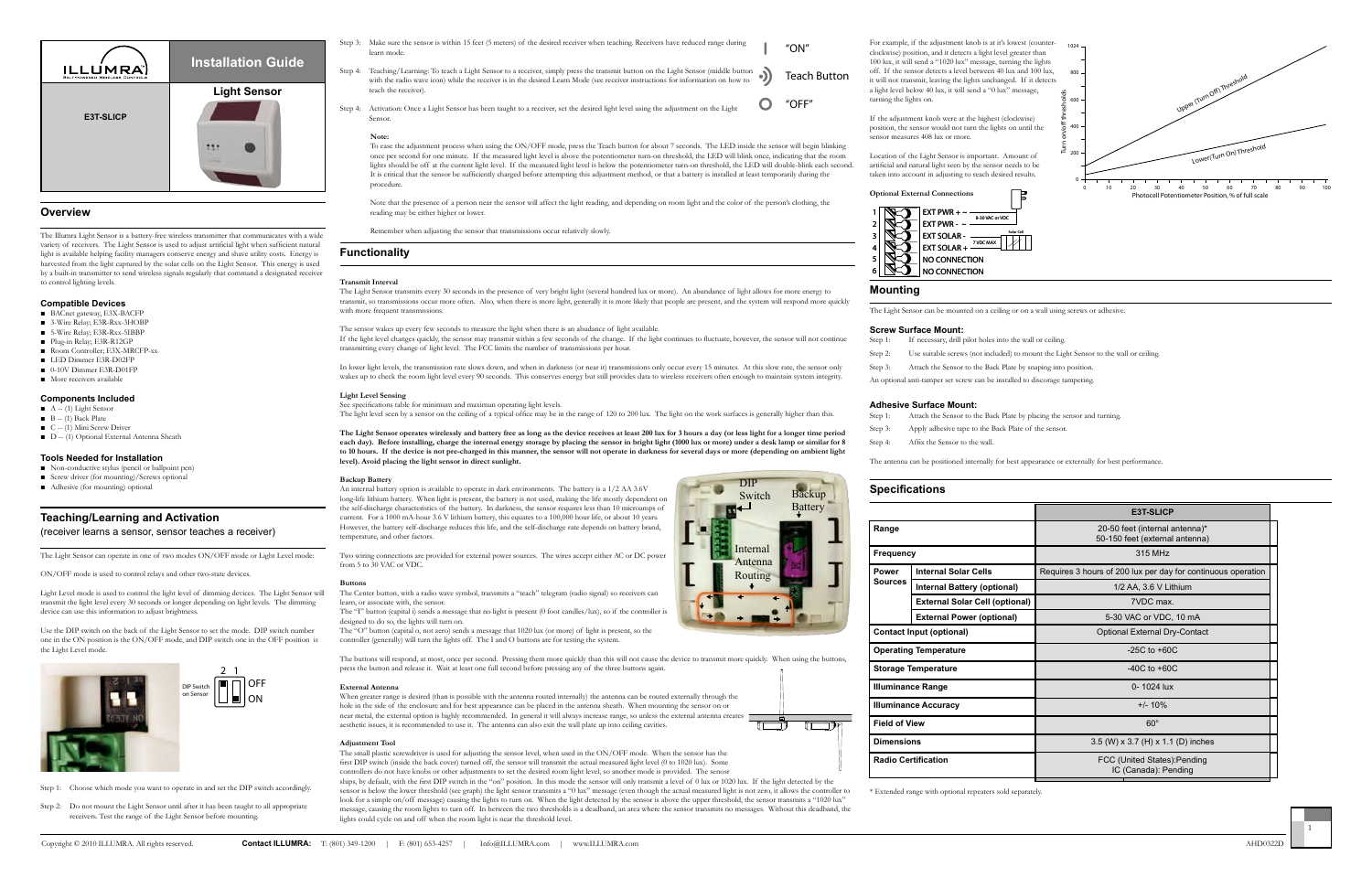sensor measures 408 lux or more.

## **Mounting**

The Light Sensor can be mounted on a ceiling or on a wall using screws or adhesive.

## **Screw Surface Mount:**

| Step 1: | If necessary, drill pilot holes into the wall or ceiling.                 |
|---------|---------------------------------------------------------------------------|
| Step 2: | Use suitable screws (not included) to mount the Light Sensor              |
| Step 3: | Attach the Sensor to the Back Plate by snaping into position.             |
|         | An optional anti-tamper set screw can be installed to discorage tampering |



## **Adhesive Surface Mount:**

| Step 1: | Attach the Sensor to the Back  |
|---------|--------------------------------|
| Step 3: | Apply adhesive tape to the Bac |
| Step 4: | Affix the Sensor to the wall.  |

The antenna can be positioned internally for best appearance or externally for best performance.

## **Specifications**

|                                 |                                       | <b>E3T-SLICP</b>                                                 |  |
|---------------------------------|---------------------------------------|------------------------------------------------------------------|--|
| Range                           |                                       | 20-50 feet (internal antenna)*<br>50-150 feet (external antenna) |  |
| Frequency                       |                                       | 315 MHz                                                          |  |
| Power<br><b>Sources</b>         | <b>Internal Solar Cells</b>           | Requires 3 hours of 200 lux per day for continuous operation     |  |
|                                 | Internal Battery (optional)           | 1/2 AA, 3.6 V Lithium                                            |  |
|                                 | <b>External Solar Cell (optional)</b> | 7VDC max.                                                        |  |
|                                 | <b>External Power (optional)</b>      | 5-30 VAC or VDC, 10 mA                                           |  |
| <b>Contact Input (optional)</b> |                                       | <b>Optional External Dry-Contact</b>                             |  |
| <b>Operating Temperature</b>    |                                       | $-25C$ to $+60C$                                                 |  |
| <b>Storage Temperature</b>      |                                       | $-40C$ to $+60C$                                                 |  |
| <b>Illuminance Range</b>        |                                       | 0-1024 lux                                                       |  |
| <b>Illuminance Accuracy</b>     |                                       | $+/- 10%$                                                        |  |
| <b>Field of View</b>            |                                       | $60^\circ$                                                       |  |
| <b>Dimensions</b>               |                                       | 3.5 (W) x 3.7 (H) x 1.1 (D) inches                               |  |
| <b>Radio Certification</b>      |                                       | FCC (United States): Pending<br>IC (Canada): Pending             |  |

\* Extended range with optional repeaters sold separately.



## **Overview**

The Illumra Light Sensor is a battery-free wireless transmitter that communicates with a wide variety of receivers. The Light Sensor is used to adjust artificial light when sufficient natural light is available helping facility managers conserve energy and shave utility costs. Energy is harvested from the light captured by the solar cells on the Light Sensor. This energy is used by a built-in transmitter to send wireless signals regularly that command a designated receiver to control lighting levels.

### **Compatible Devices**

- BACnet gateway, E3X-BACFP
- 3-Wire Relay; E3R-Rxx-3HOBP
- 5-Wire Relay; E3R-Rxx-5IBBP ■
- Plug-in Relay; E3R-R12GP
- Room Controller; E3X-MRCFP-xx
- LED Dimmer E3R-D02FP
- 0-10V Dimmer E3R-D01FP
- More receivers available

## **Components Included**

- A -- (1) Light Sensor
- B -- (1) Back Plate
- C -- (1) Mini Screw Driver
- D -- (1) Optional External Antenna Sheath

### **Tools Needed for Installation**

- Non-conductive stylus (pencil or ballpoint pen)
- Screw driver (for mounting)/Screws optional
- Adhesive (for mounting) optional

# **Teaching/Learning and Activation**

(receiver learns a sensor, sensor teaches a receiver)

The Light Sensor can operate in one of two modes ON/OFF mode or Light Level mode:

ON/OFF mode is used to control relays and other two-state devices.

Light Level mode is used to control the light level of dimming devices. The Light Sensor will transmit the light level every 30 seconds or longer depending on light levels. The dimming device can use this information to adjust brightness.

Use the DIP switch on the back of the Light Sensor to set the mode. DIP switch number one in the ON position is the ON/OFF mode, and DIP switch one in the OFF position is the Light Level mode.

- Step 3: Make sure the sensor is within 15 feet (5 meters) of the desired receiver when teaching. Receivers have reduced range during learn mode.
- Step 4: Teaching/Learning: To teach a Light Sensor to a receiver, simply press the transmit button on the Light Sensor (middle button  $\cdot$  with the radio wave icon) while the receiver is in the desired Learn Mode (see receiver instructions for information on how to teach the receiver).
- $\mathbf O$ Step 4: Activation: Once a Light Sensor has been taught to a receiver, set the desired light level using the adjustment on the Light Sensor.

#### **Note:**

To ease the adjustment process when using the ON/OFF mode, press the Teach button for about 7 seconds. The LED inside the sensor will begin blinking once per second for one minute. If the measured light level is above the potentiometer turn-on threshold, the LED will blink once, indicating that the room lights should be off at the current light level. If the measured light level is below the potentiometer turn-on threshold, the LED will double-blink each second. It is critical that the sensor be sufficiently charged before attempting this adjustment method, or that a battery is installed at least temporarily during the procedure.

Note that the presence of a person near the sensor will affect the light reading, and depending on room light and the color of the person's clothing, the reading may be either higher or lower.

Remember when adjusting the sensor that transmissions occur relatively slowly.

## **Functionality**

#### **Transmit Interval**

The Light Sensor transmits every 30 seconds in the presence of very bright light (several hundred lux or more). An abundance of light allows for more energy to transmit, so transmissions occur more often. Also, when there is more light, generally it is more likely that people are present, and the system will respond more quickly with more frequent transmissions.

The sensor wakes up every few seconds to measure the light when there is an abudance of light available.

If the light level changes quickly, the sensor may transmit within a few seconds of the change. If the light continues to fluctuate, however, the sensor will not continue transmitting every change of light level. The FCC limits the number of transmissions per hour.

In lower light levels, the transmission rate slows down, and when in darkness (or near it) transmissions only occur every 15 minutes. At this slow rate, the sensor only wakes up to check the room light level every 90 seconds. This conserves energy but still provides data to wireless receivers often enough to maintain system integrity.

#### **Light Level Sensing**

See specifications table for minimum and maximun operating light levels. The light level seen by a sensor on the ceiling of a typical office may be in the range of 120 to 200 lux. The light on the work surfaces is generally higher than this.

**The Light Sensor operates wirelessly and battery free as long as the device receives at least 200 lux for 3 hours a day (or less light for a longer time period**  each day). Before installing, charge the internal energy storage by placing the sensor in bright light (1000 lux or more) under a desk lamp or similar for 8 **to 10 hours. If the device is not pre-charged in this manner, the sensor will not operate in darkness for several days or more (depending on ambient light level). Avoid placing the light sensor in direct sunlight.**

 $DIF$ 

## **Backup Battery**

An internal battery option is available to operate in dark environments. The battery is a 1/2 AA 3.6V long-life lithium battery. When light is present, the battery is not used, making the life mostly dependent on the self-discharge characteristics of the battery. In darkness, the sensor requires less than 10 microamps of current. For a 1000 mA-hour 3.6 V lithium battery, this equates to a 100,000 hour life, or about 10 years. However, the battery self-discharge reduces this life, and the self-discharge rate depends on battery brand, temperature, and other factors.

Two wiring connections are provided for external power sources. The wires accept either AC or DC power

from 5 to 30 VAC or VDC.

- to the wall or ceiling.
- ded) to mount the Light Sensor to the wall or ceiling.
- Plate by snaping into position.
- 

Plate by placing the sensor and turning. ck Plate of the sensor.

#### **Buttons**

The Center button, with a radio wave symbol, transmits a "teach" telegram (radio signal) so receivers can learn, or associate with, the sensor.

The "I" button (capital i) sends a message that no light is present (0 foot candles/lux), so if the controller is designed to do so, the lights will turn on.

The "O" button (capital o, not zero) sends a message that 1020 lux (or more) of light is present, so the controller (generally) will turn the lights off. The I and O buttons are for testing the system.

The buttons will respond, at most, once per second. Pressing them more quickly than this will not cause the device to transmit more quickly. When using the buttons, press the button and release it. Wait at least one full second before pressing any of the three buttons again.

#### **External Antenna**

When greater range is desired (than is possible with the antenna routed internally) the antenna can be routed externally through the hole in the side of the enclosure and for best appearance can be placed in the antenna sheath. When mounting the sensor on or near metal, the external option is highly recommended. In general it will always increase range, so unless the external antenna creates aesthetic issues, it is recommended to use it. The antenna can also exit the wall plate up into ceiling cavities.

### **Adjustment Tool**

The small plastic screwdriver is used for adjusting the sensor level, when used in the ON/OFF mode. When the sensor has the first DIP switch (inside the back cover) turned off, the sensor will transmit the actual measured light level (0 to 1020 lux). Some controllers do not have knobs or other adjustments to set the desired room light level, so another mode is provided. The senosr

ships, by default, with the first DIP switch in the "on" position. In this mode the sensor will only transmit a level of 0 lux or 1020 lux. If the light detected by the sensor is below the lower threshold (see graph) the light sensor transmits a "0 lux" message (even though the actual measured light is not zero, it allows the controller to look for a simple on/off message) causing the lights to turn on. When the light detected by the sensor is above the upper threshold, the sensor transmits a "1020 lux" message, causing the room lights to turn off. In between the two thresholds is a deadband, an area where the sensor transmits no messages. Without this deadband, the lights could cycle on and off when the room light is near the threshold level.

Switch Backup

Battery

"ON" Teach Button "OFF"

OFF ON



Step 1: Choose which mode you want to operate in and set the DIP switch accordingly. operate in and set the DIP switch accordingly.  $\overline{a}$ 

Step 2: Do not mount the Light Sensor until after it has been taught to all appropriate receivers. Test the range of the Light Sensor before mounting. 6  $\sum_{i=1}^{n}$ 

Internal Antenna Routing